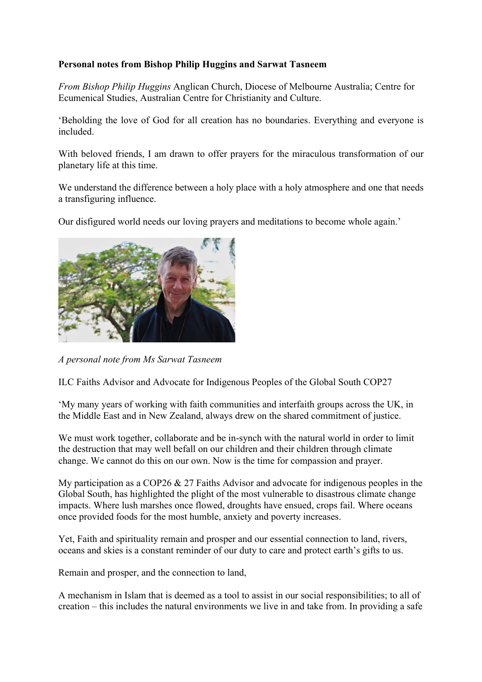## **Personal notes from Bishop Philip Huggins and Sarwat Tasneem**

*From Bishop Philip Huggins* Anglican Church, Diocese of Melbourne Australia; Centre for Ecumenical Studies, Australian Centre for Christianity and Culture.

'Beholding the love of God for all creation has no boundaries. Everything and everyone is included.

With beloved friends, I am drawn to offer prayers for the miraculous transformation of our planetary life at this time.

We understand the difference between a holy place with a holy atmosphere and one that needs a transfiguring influence.

Our disfigured world needs our loving prayers and meditations to become whole again.'



*A personal note from Ms Sarwat Tasneem*

ILC Faiths Advisor and Advocate for Indigenous Peoples of the Global South COP27

'My many years of working with faith communities and interfaith groups across the UK, in the Middle East and in New Zealand, always drew on the shared commitment of justice.

We must work together, collaborate and be in-synch with the natural world in order to limit the destruction that may well befall on our children and their children through climate change. We cannot do this on our own. Now is the time for compassion and prayer.

My participation as a COP26 & 27 Faiths Advisor and advocate for indigenous peoples in the Global South, has highlighted the plight of the most vulnerable to disastrous climate change impacts. Where lush marshes once flowed, droughts have ensued, crops fail. Where oceans once provided foods for the most humble, anxiety and poverty increases.

Yet, Faith and spirituality remain and prosper and our essential connection to land, rivers, oceans and skies is a constant reminder of our duty to care and protect earth's gifts to us.

Remain and prosper, and the connection to land,

A mechanism in Islam that is deemed as a tool to assist in our social responsibilities; to all of creation – this includes the natural environments we live in and take from. In providing a safe